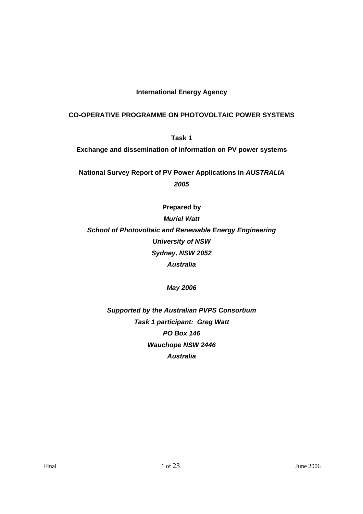## **International Energy Agency**

## **CO-OPERATIVE PROGRAMME ON PHOTOVOLTAIC POWER SYSTEMS**

**Task 1 Exchange and dissemination of information on PV power systems** 

**National Survey Report of PV Power Applications in** *AUSTRALIA 2005*

**Prepared by**  *Muriel Watt School of Photovoltaic and Renewable Energy Engineering University of NSW Sydney, NSW 2052 Australia* 

*May 2006* 

*Supported by the Australian PVPS Consortium Task 1 participant: Greg Watt PO Box 146 Wauchope NSW 2446 Australia*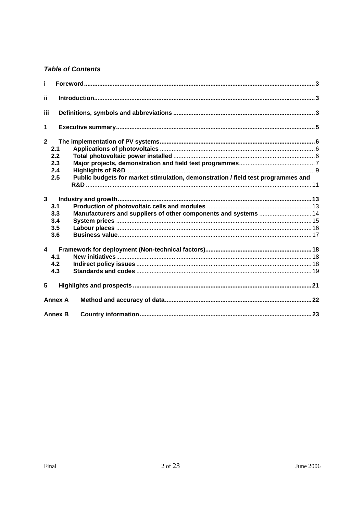# **Table of Contents**

| i.                      |                                 |                                                                                  |  |
|-------------------------|---------------------------------|----------------------------------------------------------------------------------|--|
| jj.                     |                                 |                                                                                  |  |
| iii                     |                                 |                                                                                  |  |
| 1                       |                                 |                                                                                  |  |
| $\overline{2}$          | 2.1<br>2.2<br>2.3<br>2.4<br>2.5 | Public budgets for market stimulation, demonstration / field test programmes and |  |
| $\overline{\mathbf{3}}$ | 3.1<br>3.3<br>3.4<br>3.5<br>3.6 | Manufacturers and suppliers of other components and systems  14                  |  |
| $\blacktriangle$        | 4.1<br>4.2<br>4.3               |                                                                                  |  |
| 5                       |                                 |                                                                                  |  |
|                         | <b>Annex A</b>                  |                                                                                  |  |
|                         | <b>Annex B</b>                  |                                                                                  |  |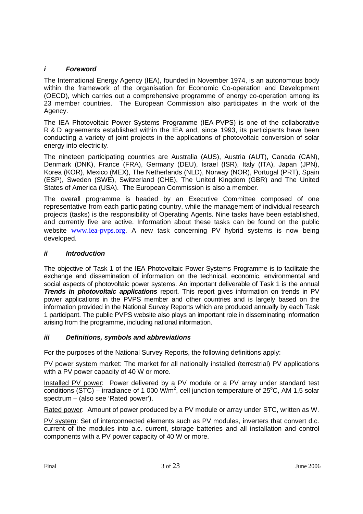## *i Foreword*

The International Energy Agency (IEA), founded in November 1974, is an autonomous body within the framework of the organisation for Economic Co-operation and Development (OECD), which carries out a comprehensive programme of energy co-operation among its 23 member countries. The European Commission also participates in the work of the Agency.

The IEA Photovoltaic Power Systems Programme (IEA-PVPS) is one of the collaborative R & D agreements established within the IEA and, since 1993, its participants have been conducting a variety of joint projects in the applications of photovoltaic conversion of solar energy into electricity.

The nineteen participating countries are Australia (AUS), Austria (AUT), Canada (CAN), Denmark (DNK), France (FRA), Germany (DEU), Israel (ISR), Italy (ITA), Japan (JPN), Korea (KOR), Mexico (MEX), The Netherlands (NLD), Norway (NOR), Portugal (PRT), Spain (ESP), Sweden (SWE), Switzerland (CHE), The United Kingdom (GBR) and The United States of America (USA). The European Commission is also a member.

The overall programme is headed by an Executive Committee composed of one representative from each participating country, while the management of individual research projects (tasks) is the responsibility of Operating Agents. Nine tasks have been established, and currently five are active. Information about these tasks can be found on the public website www.iea-pvps.org. A new task concerning PV hybrid systems is now being developed.

### *ii Introduction*

The objective of Task 1 of the IEA Photovoltaic Power Systems Programme is to facilitate the exchange and dissemination of information on the technical, economic, environmental and social aspects of photovoltaic power systems. An important deliverable of Task 1 is the annual *Trends in photovoltaic applications* report. This report gives information on trends in PV power applications in the PVPS member and other countries and is largely based on the information provided in the National Survey Reports which are produced annually by each Task 1 participant. The public PVPS website also plays an important role in disseminating information arising from the programme, including national information.

### *iii Definitions, symbols and abbreviations*

For the purposes of the National Survey Reports, the following definitions apply:

PV power system market: The market for all nationally installed (terrestrial) PV applications with a PV power capacity of 40 W or more.

Installed PV power: Power delivered by a PV module or a PV array under standard test conditions (STC) – irradiance of 1 000 W/m<sup>2</sup>, cell junction temperature of 25°C, AM 1,5 solar spectrum – (also see 'Rated power').

Rated power: Amount of power produced by a PV module or array under STC, written as W.

PV system: Set of interconnected elements such as PV modules, inverters that convert d.c. current of the modules into a.c. current, storage batteries and all installation and control components with a PV power capacity of 40 W or more.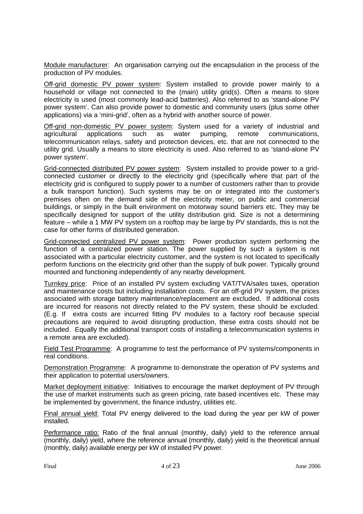Module manufacturer: An organisation carrying out the encapsulation in the process of the production of PV modules.

Off-grid domestic PV power system: System installed to provide power mainly to a household or village not connected to the (main) utility grid(s). Often a means to store electricity is used (most commonly lead-acid batteries). Also referred to as 'stand-alone PV power system'. Can also provide power to domestic and community users (plus some other applications) via a 'mini-grid', often as a hybrid with another source of power.

Off-grid non-domestic PV power system: System used for a variety of industrial and agricultural applications such as water pumping, remote communications, telecommunication relays, safety and protection devices, etc. that are not connected to the utility grid. Usually a means to store electricity is used. Also referred to as 'stand-alone PV power system'.

Grid-connected distributed PV power system: System installed to provide power to a gridconnected customer or directly to the electricity grid (specifically where that part of the electricity grid is configured to supply power to a number of customers rather than to provide a bulk transport function). Such systems may be on or integrated into the customer's premises often on the demand side of the electricity meter, on public and commercial buildings, or simply in the built environment on motorway sound barriers etc. They may be specifically designed for support of the utility distribution grid. Size is not a determining feature – while a 1 MW PV system on a rooftop may be large by PV standards, this is not the case for other forms of distributed generation.

Grid-connected centralized PV power system: Power production system performing the function of a centralized power station. The power supplied by such a system is not associated with a particular electricity customer, and the system is not located to specifically perform functions on the electricity grid other than the supply of bulk power. Typically ground mounted and functioning independently of any nearby development.

Turnkey price: Price of an installed PV system excluding VAT/TVA/sales taxes, operation and maintenance costs but including installation costs. For an off-grid PV system, the prices associated with storage battery maintenance/replacement are excluded. If additional costs are incurred for reasons not directly related to the PV system, these should be excluded. (E.g. If extra costs are incurred fitting PV modules to a factory roof because special precautions are required to avoid disrupting production, these extra costs should not be included. Equally the additional transport costs of installing a telecommunication systems in a remote area are excluded).

Field Test Programme: A programme to test the performance of PV systems/components in real conditions.

Demonstration Programme: A programme to demonstrate the operation of PV systems and their application to potential users/owners.

Market deployment initiative: Initiatives to encourage the market deployment of PV through the use of market instruments such as green pricing, rate based incentives etc. These may be implemented by government, the finance industry, utilities etc.

Final annual yield: Total PV energy delivered to the load during the year per kW of power **installed** 

Performance ratio: Ratio of the final annual (monthly, daily) yield to the reference annual (monthly, daily) yield, where the reference annual (monthly, daily) yield is the theoretical annual (monthly, daily) available energy per kW of installed PV power.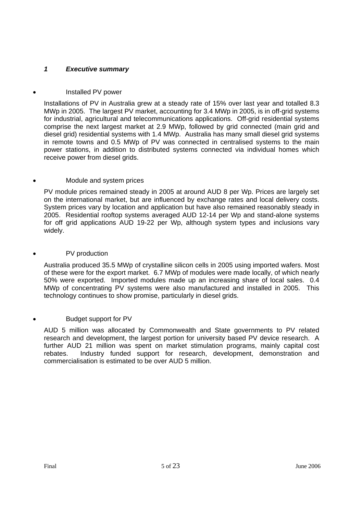# *1 Executive summary*

## • Installed PV power

Installations of PV in Australia grew at a steady rate of 15% over last year and totalled 8.3 MWp in 2005. The largest PV market, accounting for 3.4 MWp in 2005, is in off-grid systems for industrial, agricultural and telecommunications applications. Off-grid residential systems comprise the next largest market at 2.9 MWp, followed by grid connected (main grid and diesel grid) residential systems with 1.4 MWp. Australia has many small diesel grid systems in remote towns and 0.5 MWp of PV was connected in centralised systems to the main power stations, in addition to distributed systems connected via individual homes which receive power from diesel grids.

## • Module and system prices

PV module prices remained steady in 2005 at around AUD 8 per Wp. Prices are largely set on the international market, but are influenced by exchange rates and local delivery costs. System prices vary by location and application but have also remained reasonably steady in 2005. Residential rooftop systems averaged AUD 12-14 per Wp and stand-alone systems for off grid applications AUD 19-22 per Wp, although system types and inclusions vary widely.

## PV production

Australia produced 35.5 MWp of crystalline silicon cells in 2005 using imported wafers. Most of these were for the export market. 6.7 MWp of modules were made locally, of which nearly 50% were exported. Imported modules made up an increasing share of local sales. 0.4 MWp of concentrating PV systems were also manufactured and installed in 2005. This technology continues to show promise, particularly in diesel grids.

### • Budget support for PV

AUD 5 million was allocated by Commonwealth and State governments to PV related research and development, the largest portion for university based PV device research. A further AUD 21 million was spent on market stimulation programs, mainly capital cost rebates. Industry funded support for research, development, demonstration and commercialisation is estimated to be over AUD 5 million.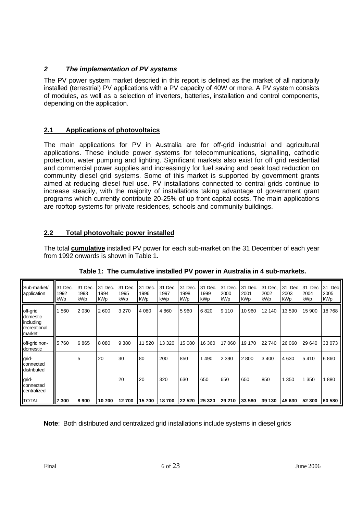# *2 The implementation of PV systems*

The PV power system market descried in this report is defined as the market of all nationally installed (terrestrial) PV applications with a PV capacity of 40W or more. A PV system consists of modules, as well as a selection of inverters, batteries, installation and control components, depending on the application.

# **2.1 Applications of photovoltaics**

The main applications for PV in Australia are for off-grid industrial and agricultural applications. These include power systems for telecommunications, signalling, cathodic protection, water pumping and lighting. Significant markets also exist for off grid residential and commercial power supplies and increasingly for fuel saving and peak load reduction on community diesel grid systems. Some of this market is supported by government grants aimed at reducing diesel fuel use. PV installations connected to central grids continue to increase steadily, with the majority of installations taking advantage of government grant programs which currently contribute 20-25% of up front capital costs. The main applications are rooftop systems for private residences, schools and community buildings.

# **2.2 Total photovoltaic power installed**

The total **cumulative** installed PV power for each sub-market on the 31 December of each year from 1992 onwards is shown in Table 1.

| Sub-market/<br>application                                         | 31 Dec.<br>1992<br>kWp | 31 Dec.<br>1993<br>kWp | 31 Dec.<br>1994<br>kWp | 31 Dec.<br>1995<br>kWp | 31 Dec.<br>1996<br>kWp | 31 Dec.<br>1997<br>kWp | 31 Dec.<br>1998<br>kWp | 31 Dec.<br>1999<br>kWp | 31 Dec.<br>2000<br>kWp | 31 Dec.<br>2001<br>kWp | 31 Dec.<br>2002<br>kWp | 31 Dec<br>2003<br>kWp | 31<br>Dec<br>2004<br>kWp | 31 Dec<br>2005<br>kWp |
|--------------------------------------------------------------------|------------------------|------------------------|------------------------|------------------------|------------------------|------------------------|------------------------|------------------------|------------------------|------------------------|------------------------|-----------------------|--------------------------|-----------------------|
| off-grid<br>domestic<br>including<br><b>recreational</b><br>market | 560                    | 2 0 3 0                | 2600                   | 3 2 7 0                | 4 0 8 0                | 4 8 6 0                | 5960                   | 6820                   | 9 1 1 0                | 10 960                 | 12 140                 | 13590                 | 15 900                   | 18768                 |
| off-grid non-<br>domestic                                          | 5760                   | 6865                   | 8 0 8 0                | 9 3 8 0                | 11 520                 | 13 320                 | 15 080                 | 16 360                 | 17 060                 | 19 170                 | 22 740                 | 26 060                | 29 640                   | 33 073                |
| grid-<br>connected<br><b>distributed</b>                           |                        | 5                      | 20                     | 30                     | 80                     | 200                    | 850                    | 490                    | 2 3 9 0                | 2800                   | 3 4 0 0                | 4 6 3 0               | 5410                     | 6860                  |
| grid-<br>connected<br>centralized                                  |                        |                        |                        | 20                     | 20                     | 320                    | 630                    | 650                    | 650                    | 650                    | 850                    | 350                   | 350                      | 880                   |
| <b>TOTAL</b>                                                       | 7 300                  | 8 9 0 0                | 10 700                 | 12 700                 | 15 700                 | 18700                  | 22 5 20                | 25 320                 | 29 210                 | 33 580                 | 39 130                 | 45 630                | 52 300                   | 60 580                |

**Table 1: The cumulative installed PV power in Australia in 4 sub-markets.** 

**Note**: Both distributed and centralized grid installations include systems in diesel grids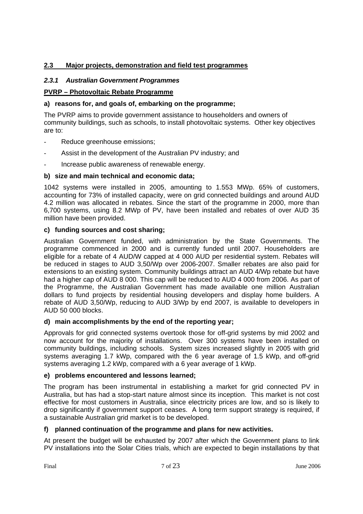## **2.3 Major projects, demonstration and field test programmes**

## *2.3.1 Australian Government Programmes*

### **PVRP – Photovoltaic Rebate Programme**

### **a) reasons for, and goals of, embarking on the programme;**

The PVRP aims to provide government assistance to householders and owners of community buildings, such as schools, to install photovoltaic systems. Other key objectives are to:

- Reduce greenhouse emissions;
- Assist in the development of the Australian PV industry; and
- Increase public awareness of renewable energy.

## **b) size and main technical and economic data;**

1042 systems were installed in 2005, amounting to 1.553 MWp. 65% of customers, accounting for 73% of installed capacity, were on grid connected buildings and around AUD 4.2 million was allocated in rebates. Since the start of the programme in 2000, more than 6,700 systems, using 8.2 MWp of PV, have been installed and rebates of over AUD 35 million have been provided.

## **c) funding sources and cost sharing;**

Australian Government funded, with administration by the State Governments. The programme commenced in 2000 and is currently funded until 2007. Householders are eligible for a rebate of 4 AUD/W capped at 4 000 AUD per residential system. Rebates will be reduced in stages to AUD 3,50/Wp over 2006-2007. Smaller rebates are also paid for extensions to an existing system. Community buildings attract an AUD 4/Wp rebate but have had a higher cap of AUD 8 000. This cap will be reduced to AUD 4 000 from 2006. As part of the Programme, the Australian Government has made available one million Australian dollars to fund projects by residential housing developers and display home builders. A rebate of AUD 3,50/Wp, reducing to AUD 3/Wp by end 2007, is available to developers in AUD 50 000 blocks.

### **d) main accomplishments by the end of the reporting year;**

Approvals for grid connected systems overtook those for off-grid systems by mid 2002 and now account for the majority of installations. Over 300 systems have been installed on community buildings, including schools. System sizes increased slightly in 2005 with grid systems averaging 1.7 kWp, compared with the 6 year average of 1.5 kWp, and off-grid systems averaging 1.2 kWp, compared with a 6 year average of 1 kWp.

### **e) problems encountered and lessons learned;**

The program has been instrumental in establishing a market for grid connected PV in Australia, but has had a stop-start nature almost since its inception. This market is not cost effective for most customers in Australia, since electricity prices are low, and so is likely to drop significantly if government support ceases. A long term support strategy is required, if a sustainable Australian grid market is to be developed.

### **f) planned continuation of the programme and plans for new activities.**

At present the budget will be exhausted by 2007 after which the Government plans to link PV installations into the Solar Cities trials, which are expected to begin installations by that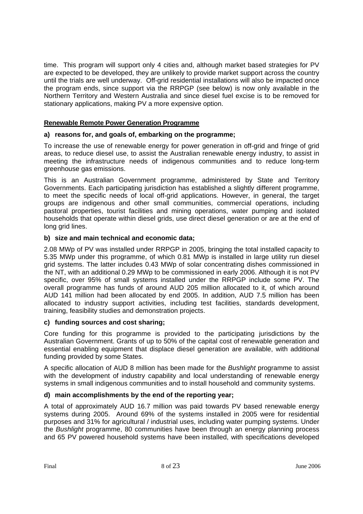time. This program will support only 4 cities and, although market based strategies for PV are expected to be developed, they are unlikely to provide market support across the country until the trials are well underway. Off-grid residential installations will also be impacted once the program ends, since support via the RRPGP (see below) is now only available in the Northern Territory and Western Australia and since diesel fuel excise is to be removed for stationary applications, making PV a more expensive option.

## **Renewable Remote Power Generation Programme**

## **a) reasons for, and goals of, embarking on the programme;**

To increase the use of renewable energy for power generation in off-grid and fringe of grid areas, to reduce diesel use, to assist the Australian renewable energy industry, to assist in meeting the infrastructure needs of indigenous communities and to reduce long-term greenhouse gas emissions.

This is an Australian Government programme, administered by State and Territory Governments. Each participating jurisdiction has established a slightly different programme, to meet the specific needs of local off-grid applications. However, in general, the target groups are indigenous and other small communities, commercial operations, including pastoral properties, tourist facilities and mining operations, water pumping and isolated households that operate within diesel grids, use direct diesel generation or are at the end of long grid lines.

## **b) size and main technical and economic data;**

2.08 MWp of PV was installed under RRPGP in 2005, bringing the total installed capacity to 5.35 MWp under this programme, of which 0.81 MWp is installed in large utility run diesel grid systems. The latter includes 0.43 MWp of solar concentrating dishes commissioned in the NT, with an additional 0.29 MWp to be commissioned in early 2006. Although it is not PV specific, over 95% of small systems installed under the RRPGP include some PV. The overall programme has funds of around AUD 205 million allocated to it, of which around AUD 141 million had been allocated by end 2005. In addition, AUD 7.5 million has been allocated to industry support activities, including test facilities, standards development, training, feasibility studies and demonstration projects.

### **c) funding sources and cost sharing;**

Core funding for this programme is provided to the participating jurisdictions by the Australian Government. Grants of up to 50% of the capital cost of renewable generation and essential enabling equipment that displace diesel generation are available, with additional funding provided by some States.

A specific allocation of AUD 8 million has been made for the *Bushlight* programme to assist with the development of industry capability and local understanding of renewable energy systems in small indigenous communities and to install household and community systems.

## **d) main accomplishments by the end of the reporting year;**

A total of approximately AUD 16.7 million was paid towards PV based renewable energy systems during 2005. Around 69% of the systems installed in 2005 were for residential purposes and 31% for agricultural / industrial uses, including water pumping systems. Under the *Bushlight* programme, 80 communities have been through an energy planning process and 65 PV powered household systems have been installed, with specifications developed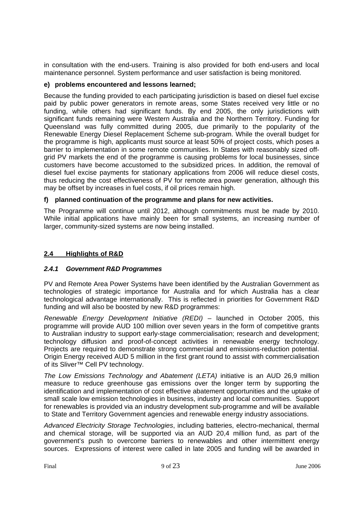in consultation with the end-users. Training is also provided for both end-users and local maintenance personnel. System performance and user satisfaction is being monitored.

### **e) problems encountered and lessons learned;**

Because the funding provided to each participating jurisdiction is based on diesel fuel excise paid by public power generators in remote areas, some States received very little or no funding, while others had significant funds. By end 2005, the only jurisdictions with significant funds remaining were Western Australia and the Northern Territory. Funding for Queensland was fully committed during 2005, due primarily to the popularity of the Renewable Energy Diesel Replacement Scheme sub-program. While the overall budget for the programme is high, applicants must source at least 50% of project costs, which poses a barrier to implementation in some remote communities. In States with reasonably sized offgrid PV markets the end of the programme is causing problems for local businesses, since customers have become accustomed to the subsidized prices. In addition, the removal of diesel fuel excise payments for stationary applications from 2006 will reduce diesel costs, thus reducing the cost effectiveness of PV for remote area power generation, although this may be offset by increases in fuel costs, if oil prices remain high.

## **f) planned continuation of the programme and plans for new activities.**

The Programme will continue until 2012, although commitments must be made by 2010. While initial applications have mainly been for small systems, an increasing number of larger, community-sized systems are now being installed.

## **2.4 Highlights of R&D**

### *2.4.1 Government R&D Programmes*

PV and Remote Area Power Systems have been identified by the Australian Government as technologies of strategic importance for Australia and for which Australia has a clear technological advantage internationally. This is reflected in priorities for Government R&D funding and will also be boosted by new R&D programmes:

*Renewable Energy Development Initiative (REDI)* – launched in October 2005, this programme will provide AUD 100 million over seven years in the form of competitive grants to Australian industry to support early-stage commercialisation; research and development; technology diffusion and proof-of-concept activities in renewable energy technology. Projects are required to demonstrate strong commercial and emissions-reduction potential. Origin Energy received AUD 5 million in the first grant round to assist with commercialisation of its Sliver™ Cell PV technology.

*The Low Emissions Technology and Abatement (LETA)* initiative is an AUD 26,9 million measure to reduce greenhouse gas emissions over the longer term by supporting the identification and implementation of cost effective abatement opportunities and the uptake of small scale low emission technologies in business, industry and local communities. Support for renewables is provided via an industry development sub-programme and will be available to State and Territory Government agencies and renewable energy industry associations.

*Advanced Electricity Storage Technologies*, including batteries, electro-mechanical, thermal and chemical storage, will be supported via an AUD 20,4 million fund, as part of the government's push to overcome barriers to renewables and other intermittent energy sources. Expressions of interest were called in late 2005 and funding will be awarded in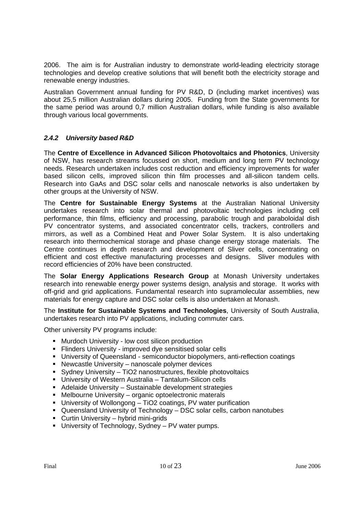2006. The aim is for Australian industry to demonstrate world-leading electricity storage technologies and develop creative solutions that will benefit both the electricity storage and renewable energy industries.

Australian Government annual funding for PV R&D, D (including market incentives) was about 25,5 million Australian dollars during 2005. Funding from the State governments for the same period was around 0,7 million Australian dollars, while funding is also available through various local governments.

## *2.4.2 University based R&D*

The **Centre of Excellence in Advanced Silicon Photovoltaics and Photonics**, University of NSW, has research streams focussed on short, medium and long term PV technology needs. Research undertaken includes cost reduction and efficiency improvements for wafer based silicon cells, improved silicon thin film processes and all-silicon tandem cells. Research into GaAs and DSC solar cells and nanoscale networks is also undertaken by other groups at the University of NSW.

The **Centre for Sustainable Energy Systems** at the Australian National University undertakes research into solar thermal and photovoltaic technologies including cell performance, thin films, efficiency and processing, parabolic trough and paraboloidal dish PV concentrator systems, and associated concentrator cells, trackers, controllers and mirrors, as well as a Combined Heat and Power Solar System. It is also undertaking research into thermochemical storage and phase change energy storage materials. The Centre continues in depth research and development of Sliver cells, concentrating on efficient and cost effective manufacturing processes and designs. Sliver modules with record efficiencies of 20% have been constructed.

The **Solar Energy Applications Research Group** at Monash University undertakes research into renewable energy power systems design, analysis and storage. It works with off-grid and grid applications. Fundamental research into supramolecular assemblies, new materials for energy capture and DSC solar cells is also undertaken at Monash.

The **Institute for Sustainable Systems and Technologies**, University of South Australia, undertakes research into PV applications, including commuter cars.

Other university PV programs include:

- **Murdoch University low cost silicon production**
- Flinders University improved dye sensitised solar cells
- University of Queensland semiconductor biopolymers, anti-reflection coatings
- Newcastle University nanoscale polymer devices
- Sydney University TiO2 nanostructures, flexible photovoltaics
- University of Western Australia Tantalum-Silicon cells
- Adelaide University Sustainable development strategies
- Melbourne University organic optoelectronic materals
- University of Wollongong TiO2 coatings, PV water purification
- Queensland University of Technology DSC solar cells, carbon nanotubes
- Curtin University hybrid mini-grids
- University of Technology, Sydney PV water pumps.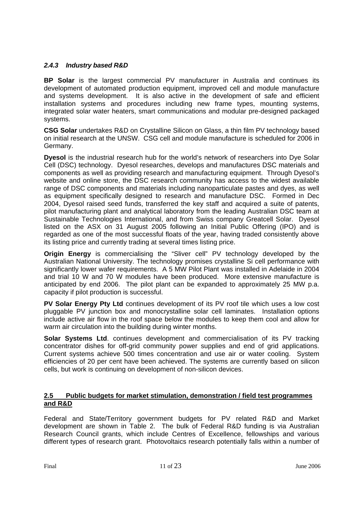## *2.4.3 Industry based R&D*

**BP Solar** is the largest commercial PV manufacturer in Australia and continues its development of automated production equipment, improved cell and module manufacture and systems development. It is also active in the development of safe and efficient installation systems and procedures including new frame types, mounting systems, integrated solar water heaters, smart communications and modular pre-designed packaged systems.

**CSG Solar** undertakes R&D on Crystalline Silicon on Glass, a thin film PV technology based on initial research at the UNSW. CSG cell and module manufacture is scheduled for 2006 in Germany.

**Dyesol** is the industrial research hub for the world's network of researchers into Dye Solar Cell (DSC) technology. Dyesol researches, develops and manufactures DSC materials and components as well as providing research and manufacturing equipment. Through Dyesol's website and online store, the DSC research community has access to the widest available range of DSC components and materials including nanoparticulate pastes and dyes, as well as equipment specifically designed to research and manufacture DSC. Formed in Dec 2004, Dyesol raised seed funds, transferred the key staff and acquired a suite of patents, pilot manufacturing plant and analytical laboratory from the leading Australian DSC team at Sustainable Technologies International, and from Swiss company Greatcell Solar. Dyesol listed on the ASX on 31 August 2005 following an Initial Public Offering (IPO) and is regarded as one of the most successful floats of the year, having traded consistently above its listing price and currently trading at several times listing price.

**Origin Energy** is commercialising the "Sliver cell" PV technology developed by the Australian National University. The technology promises crystalline Si cell performance with significantly lower wafer requirements. A 5 MW Pilot Plant was installed in Adelaide in 2004 and trial 10 W and 70 W modules have been produced. More extensive manufacture is anticipated by end 2006. The pilot plant can be expanded to approximately 25 MW p.a. capacity if pilot production is successful.

**PV Solar Energy Pty Ltd** continues development of its PV roof tile which uses a low cost pluggable PV junction box and monocrystalline solar cell laminates. Installation options include active air flow in the roof space below the modules to keep them cool and allow for warm air circulation into the building during winter months.

**Solar Systems Ltd**. continues development and commercialisation of its PV tracking concentrator dishes for off-grid community power supplies and end of grid applications. Current systems achieve 500 times concentration and use air or water cooling. System efficiencies of 20 per cent have been achieved. The systems are currently based on silicon cells, but work is continuing on development of non-silicon devices.

#### **2.5 Public budgets for market stimulation, demonstration / field test programmes and R&D**

Federal and State/Territory government budgets for PV related R&D and Market development are shown in Table 2. The bulk of Federal R&D funding is via Australian Research Council grants, which include Centres of Excellence, fellowships and various different types of research grant. Photovoltaics research potentially falls within a number of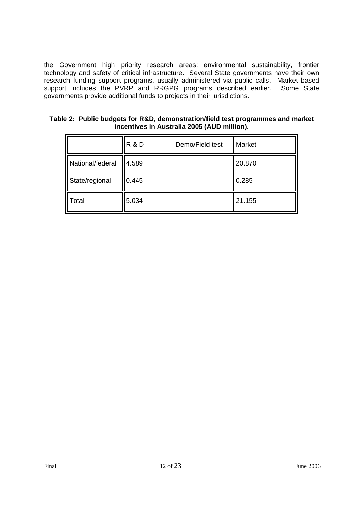the Government high priority research areas: environmental sustainability, frontier technology and safety of critical infrastructure. Several State governments have their own research funding support programs, usually administered via public calls. Market based support includes the PVRP and RRGPG programs described earlier. Some State governments provide additional funds to projects in their jurisdictions.

|                  | <b>R&amp;D</b> | Demo/Field test | Market |
|------------------|----------------|-----------------|--------|
| National/federal | 4.589          |                 | 20.870 |
| State/regional   | 0.445          |                 | 0.285  |
| Total            | 5.034          |                 | 21.155 |

**Table 2: Public budgets for R&D, demonstration/field test programmes and market incentives in Australia 2005 (AUD million).**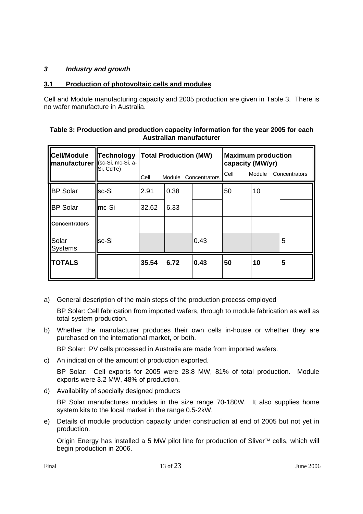## *3 Industry and growth*

## **3.1 Production of photovoltaic cells and modules**

Cell and Module manufacturing capacity and 2005 production are given in Table 3. There is no wafer manufacture in Australia.

| Table 3: Production and production capacity information for the year 2005 for each |
|------------------------------------------------------------------------------------|
| Australian manufacturer                                                            |

| <b>Cell/Module</b><br>manufacturer   (sc-Si, mc-Si, a- | <b>Technology</b><br>Si, CdTe) | Cell  | <b>Total Production (MW)</b> | Module Concentrators | <b>Maximum production</b><br>capacity (MW/yr)<br>Cell<br>Module<br>Concentrators |    |   |  |
|--------------------------------------------------------|--------------------------------|-------|------------------------------|----------------------|----------------------------------------------------------------------------------|----|---|--|
| <b>BP</b> Solar                                        | sc-Si                          | 2.91  | 0.38                         |                      | 50                                                                               | 10 |   |  |
| <b>BP</b> Solar                                        | $Imc-Si$                       | 32.62 | 6.33                         |                      |                                                                                  |    |   |  |
| <b>Concentrators</b>                                   |                                |       |                              |                      |                                                                                  |    |   |  |
| Solar<br><b>Systems</b>                                | sc-Si                          |       |                              | 0.43                 |                                                                                  |    | 5 |  |
| <b>TOTALS</b>                                          |                                |       | 6.72                         | 0.43                 | 50                                                                               | 10 | 5 |  |

a) General description of the main steps of the production process employed

 BP Solar: Cell fabrication from imported wafers, through to module fabrication as well as total system production.

b) Whether the manufacturer produces their own cells in-house or whether they are purchased on the international market, or both.

BP Solar: PV cells processed in Australia are made from imported wafers.

c) An indication of the amount of production exported.

 BP Solar: Cell exports for 2005 were 28.8 MW, 81% of total production. Module exports were 3.2 MW, 48% of production.

d) Availability of specially designed products

 BP Solar manufactures modules in the size range 70-180W. It also supplies home system kits to the local market in the range 0.5-2kW.

e) Details of module production capacity under construction at end of 2005 but not yet in production.

Origin Energy has installed a 5 MW pilot line for production of Sliver™ cells, which will begin production in 2006.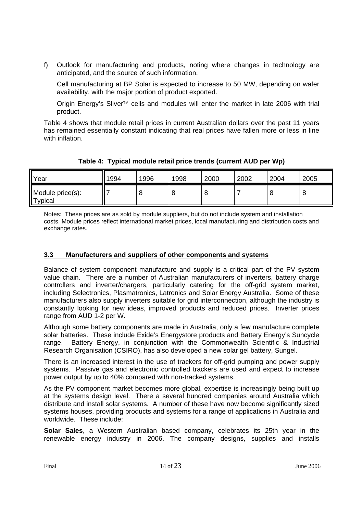f) Outlook for manufacturing and products, noting where changes in technology are anticipated, and the source of such information.

 Cell manufacturing at BP Solar is expected to increase to 50 MW, depending on wafer availability, with the major portion of product exported.

 Origin Energy's Sliver™ cells and modules will enter the market in late 2006 with trial product.

Table 4 shows that module retail prices in current Australian dollars over the past 11 years has remained essentially constant indicating that real prices have fallen more or less in line with inflation.

**Table 4: Typical module retail price trends (current AUD per Wp)** 

| <b>Year</b>                                | 1994 | 1996 | 1998 | 2000 | 2002 | 2004 | 2005 |
|--------------------------------------------|------|------|------|------|------|------|------|
| Module price(s):<br>$\blacksquare$ Typical |      | ີ    |      |      |      |      | ີ    |

Notes: These prices are as sold by module suppliers, but do not include system and installation costs. Module prices reflect international market prices, local manufacturing and distribution costs and exchange rates.

## **3.3 Manufacturers and suppliers of other components and systems**

Balance of system component manufacture and supply is a critical part of the PV system value chain. There are a number of Australian manufacturers of inverters, battery charge controllers and inverter/chargers, particularly catering for the off-grid system market, including Selectronics, Plasmatronics, Latronics and Solar Energy Australia. Some of these manufacturers also supply inverters suitable for grid interconnection, although the industry is constantly looking for new ideas, improved products and reduced prices. Inverter prices range from AUD 1-2 per W.

Although some battery components are made in Australia, only a few manufacture complete solar batteries. These include Exide's Energystore products and Battery Energy's Suncycle range. Battery Energy, in conjunction with the Commonwealth Scientific & Industrial Research Organisation (CSIRO), has also developed a new solar gel battery, Sungel.

There is an increased interest in the use of trackers for off-grid pumping and power supply systems. Passive gas and electronic controlled trackers are used and expect to increase power output by up to 40% compared with non-tracked systems.

As the PV component market becomes more global, expertise is increasingly being built up at the systems design level. There a several hundred companies around Australia which distribute and install solar systems. A number of these have now become significantly sized systems houses, providing products and systems for a range of applications in Australia and worldwide. These include:

**Solar Sales**, a Western Australian based company, celebrates its 25th year in the renewable energy industry in 2006. The company designs, supplies and installs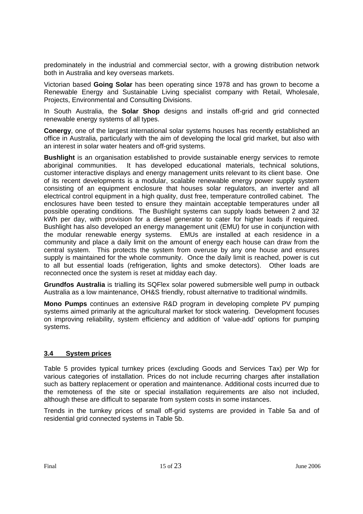predominately in the industrial and commercial sector, with a growing distribution network both in Australia and key overseas markets.

Victorian based **Going Solar** has been operating since 1978 and has grown to become a Renewable Energy and Sustainable Living specialist company with Retail, Wholesale, Projects, Environmental and Consulting Divisions.

In South Australia, the **Solar Shop** designs and installs off-grid and grid connected renewable energy systems of all types.

**Conergy**, one of the largest international solar systems houses has recently established an office in Australia, particularly with the aim of developing the local grid market, but also with an interest in solar water heaters and off-grid systems.

**Bushlight** is an organisation established to provide sustainable energy services to remote aboriginal communities. It has developed educational materials, technical solutions, customer interactive displays and energy management units relevant to its client base. One of its recent developments is a modular, scalable renewable energy power supply system consisting of an equipment enclosure that houses solar regulators, an inverter and all electrical control equipment in a high quality, dust free, temperature controlled cabinet. The enclosures have been tested to ensure they maintain acceptable temperatures under all possible operating conditions. The Bushlight systems can supply loads between 2 and 32 kWh per day, with provision for a diesel generator to cater for higher loads if required. Bushlight has also developed an energy management unit (EMU) for use in conjunction with the modular renewable energy systems. EMUs are installed at each residence in a community and place a daily limit on the amount of energy each house can draw from the central system. This protects the system from overuse by any one house and ensures supply is maintained for the whole community. Once the daily limit is reached, power is cut to all but essential loads (refrigeration, lights and smoke detectors). Other loads are reconnected once the system is reset at midday each day.

**Grundfos Australia** is trialling its SQFlex solar powered submersible well pump in outback Australia as a low maintenance, OH&S friendly, robust alternative to traditional windmills.

**Mono Pumps** continues an extensive R&D program in developing complete PV pumping systems aimed primarily at the agricultural market for stock watering. Development focuses on improving reliability, system efficiency and addition of 'value-add' options for pumping systems.

### **3.4 System prices**

Table 5 provides typical turnkey prices (excluding Goods and Services Tax) per Wp for various categories of installation. Prices do not include recurring charges after installation such as battery replacement or operation and maintenance. Additional costs incurred due to the remoteness of the site or special installation requirements are also not included, although these are difficult to separate from system costs in some instances.

Trends in the turnkey prices of small off-grid systems are provided in Table 5a and of residential grid connected systems in Table 5b.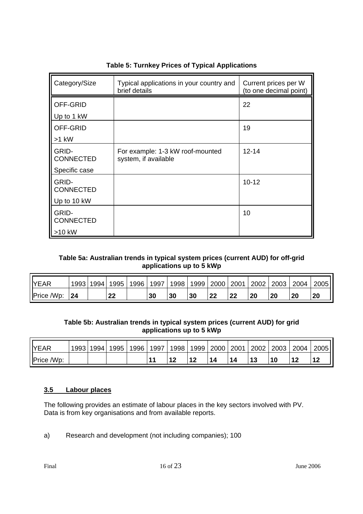| Category/Size             | Typical applications in your country and<br>brief details | Current prices per W<br>(to one decimal point) |
|---------------------------|-----------------------------------------------------------|------------------------------------------------|
| OFF-GRID                  |                                                           | 22                                             |
| Up to 1 kW                |                                                           |                                                |
| OFF-GRID                  |                                                           | 19                                             |
| $>1$ kW                   |                                                           |                                                |
| GRID-<br><b>CONNECTED</b> | For example: 1-3 kW roof-mounted<br>system, if available  | $12 - 14$                                      |
| Specific case             |                                                           |                                                |
| GRID-<br><b>CONNECTED</b> |                                                           | $10 - 12$                                      |
| Up to 10 kW               |                                                           |                                                |
| GRID-<br>CONNECTED        |                                                           | 10                                             |
| $>10$ kW                  |                                                           |                                                |

## **Table 5: Turnkey Prices of Typical Applications**

## **Table 5a: Australian trends in typical system prices (current AUD) for off-grid applications up to 5 kWp**

| <b>YEAR</b> |    | 1993   1994   1995 | 1996   1997 |    |    | 1998   1999   2000   2001 |    | 2002   2003 |    | 2004   2005 |
|-------------|----|--------------------|-------------|----|----|---------------------------|----|-------------|----|-------------|
| Price /Wp:  | 24 | 22                 |             | 30 | 30 |                           | 22 | 20          | 20 | 20          |

## **Table 5b: Australian trends in typical system prices (current AUD) for grid applications up to 5 kWp**

| <b>YEAR</b> | 1993 | 1994 1995 | 1996 | 1997 | 1998 | 1999 | 2000 2001 | 2002 | 2003 | 2004 | 2005 |
|-------------|------|-----------|------|------|------|------|-----------|------|------|------|------|
| Price /Wp:  |      |           |      |      |      |      |           |      |      |      |      |

### **3.5 Labour places**

The following provides an estimate of labour places in the key sectors involved with PV. Data is from key organisations and from available reports.

a) Research and development (not including companies); 100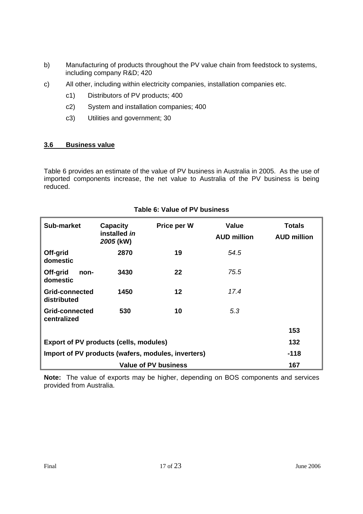- b) Manufacturing of products throughout the PV value chain from feedstock to systems, including company R&D; 420
- c) All other, including within electricity companies, installation companies etc.
	- c1) Distributors of PV products; 400
	- c2) System and installation companies; 400
	- c3) Utilities and government; 30

## **3.6 Business value**

Table 6 provides an estimate of the value of PV business in Australia in 2005. As the use of imported components increase, the net value to Australia of the PV business is being reduced.

| Sub-market                                         | <b>Capacity</b><br>installed in<br>2005 (kW) | Price per W          | Value<br><b>AUD million</b> | <b>Totals</b><br><b>AUD million</b> |
|----------------------------------------------------|----------------------------------------------|----------------------|-----------------------------|-------------------------------------|
| Off-grid<br>domestic                               | 2870                                         | 19                   | 54.5                        |                                     |
| Off-grid<br>non-<br>domestic                       | 3430                                         | 22                   | 75.5                        |                                     |
| Grid-connected<br>distributed                      | 1450                                         | 12                   | 17.4                        |                                     |
| Grid-connected<br>centralized                      | 530                                          | 10                   | 5.3                         |                                     |
|                                                    |                                              |                      |                             | 153                                 |
| <b>Export of PV products (cells, modules)</b>      | 132                                          |                      |                             |                                     |
| Import of PV products (wafers, modules, inverters) | -118                                         |                      |                             |                                     |
|                                                    |                                              | Value of PV business |                             | 167                                 |

## **Table 6: Value of PV business**

**Note:** The value of exports may be higher, depending on BOS components and services provided from Australia.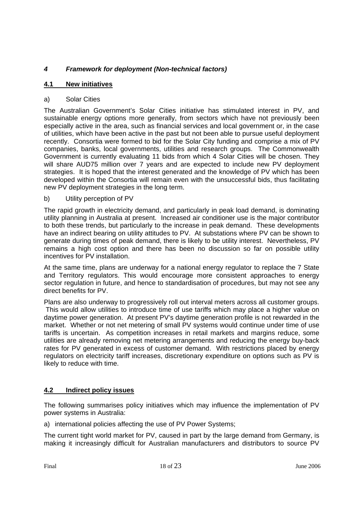# *4 Framework for deployment (Non-technical factors)*

## **4.1 New initiatives**

### a) Solar Cities

The Australian Government's Solar Cities initiative has stimulated interest in PV, and sustainable energy options more generally, from sectors which have not previously been especially active in the area, such as financial services and local government or, in the case of utilities, which have been active in the past but not been able to pursue useful deployment recently. Consortia were formed to bid for the Solar City funding and comprise a mix of PV companies, banks, local governments, utilities and research groups. The Commonwealth Government is currently evaluating 11 bids from which 4 Solar Cities will be chosen. They will share AUD75 million over 7 years and are expected to include new PV deployment strategies. It is hoped that the interest generated and the knowledge of PV which has been developed within the Consortia will remain even with the unsuccessful bids, thus facilitating new PV deployment strategies in the long term.

### b) Utility perception of PV

The rapid growth in electricity demand, and particularly in peak load demand, is dominating utility planning in Australia at present. Increased air conditioner use is the major contributor to both these trends, but particularly to the increase in peak demand. These developments have an indirect bearing on utility attitudes to PV. At substations where PV can be shown to generate during times of peak demand, there is likely to be utility interest. Nevertheless, PV remains a high cost option and there has been no discussion so far on possible utility incentives for PV installation.

At the same time, plans are underway for a national energy regulator to replace the 7 State and Territory regulators. This would encourage more consistent approaches to energy sector regulation in future, and hence to standardisation of procedures, but may not see any direct benefits for PV.

Plans are also underway to progressively roll out interval meters across all customer groups. This would allow utilities to introduce time of use tariffs which may place a higher value on daytime power generation. At present PV's daytime generation profile is not rewarded in the market. Whether or not net metering of small PV systems would continue under time of use tariffs is uncertain. As competition increases in retail markets and margins reduce, some utilities are already removing net metering arrangements and reducing the energy buy-back rates for PV generated in excess of customer demand. With restrictions placed by energy regulators on electricity tariff increases, discretionary expenditure on options such as PV is likely to reduce with time.

## **4.2 Indirect policy issues**

The following summarises policy initiatives which may influence the implementation of PV power systems in Australia:

a) international policies affecting the use of PV Power Systems;

The current tight world market for PV, caused in part by the large demand from Germany, is making it increasingly difficult for Australian manufacturers and distributors to source PV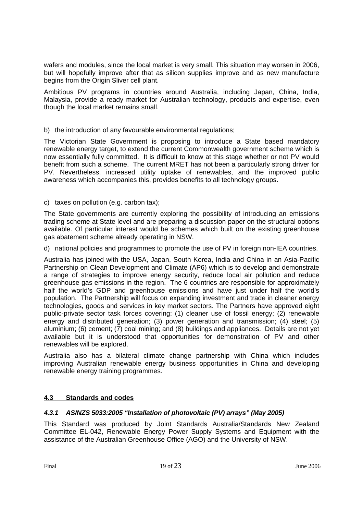wafers and modules, since the local market is very small. This situation may worsen in 2006, but will hopefully improve after that as silicon supplies improve and as new manufacture begins from the Origin Sliver cell plant.

Ambitious PV programs in countries around Australia, including Japan, China, India, Malaysia, provide a ready market for Australian technology, products and expertise, even though the local market remains small.

### b) the introduction of any favourable environmental regulations;

The Victorian State Government is proposing to introduce a State based mandatory renewable energy target, to extend the current Commonwealth government scheme which is now essentially fully committed. It is difficult to know at this stage whether or not PV would benefit from such a scheme. The current MRET has not been a particularly strong driver for PV. Nevertheless, increased utility uptake of renewables, and the improved public awareness which accompanies this, provides benefits to all technology groups.

### c) taxes on pollution (e.g. carbon tax);

The State governments are currently exploring the possibility of introducing an emissions trading scheme at State level and are preparing a discussion paper on the structural options available. Of particular interest would be schemes which built on the existing greenhouse gas abatement scheme already operating in NSW.

d) national policies and programmes to promote the use of PV in foreign non-IEA countries.

Australia has joined with the USA, Japan, South Korea, India and China in an Asia-Pacific Partnership on Clean Development and Climate (AP6) which is to develop and demonstrate a range of strategies to improve energy security, reduce local air pollution and reduce greenhouse gas emissions in the region. The 6 countries are responsible for approximately half the world's GDP and greenhouse emissions and have just under half the world's population. The Partnership will focus on expanding investment and trade in cleaner energy technologies, goods and services in key market sectors. The Partners have approved eight public-private sector task forces covering: (1) cleaner use of fossil energy; (2) renewable energy and distributed generation; (3) power generation and transmission; (4) steel; (5) aluminium; (6) cement; (7) coal mining; and (8) buildings and appliances. Details are not yet available but it is understood that opportunities for demonstration of PV and other renewables will be explored.

Australia also has a bilateral climate change partnership with China which includes improving Australian renewable energy business opportunities in China and developing renewable energy training programmes.

## **4.3 Standards and codes**

### *4.3.1 AS/NZS 5033:2005 "Installation of photovoltaic (PV) arrays" (May 2005)*

This Standard was produced by Joint Standards Australia/Standards New Zealand Committee EL-042, Renewable Energy Power Supply Systems and Equipment with the assistance of the Australian Greenhouse Office (AGO) and the University of NSW.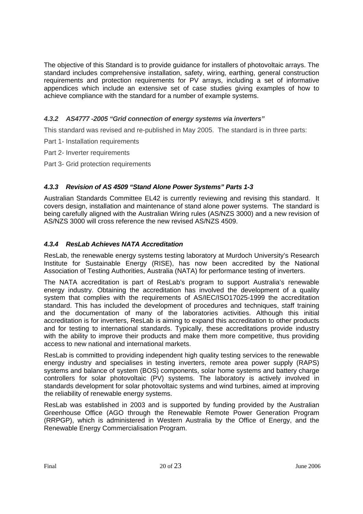The objective of this Standard is to provide guidance for installers of photovoltaic arrays. The standard includes comprehensive installation, safety, wiring, earthing, general construction requirements and protection requirements for PV arrays, including a set of informative appendices which include an extensive set of case studies giving examples of how to achieve compliance with the standard for a number of example systems.

# *4.3.2 AS4777 -2005 "Grid connection of energy systems via inverters"*

This standard was revised and re-published in May 2005. The standard is in three parts:

- Part 1- Installation requirements
- Part 2- Inverter requirements
- Part 3- Grid protection requirements

## *4.3.3 Revision of AS 4509 "Stand Alone Power Systems" Parts 1-3*

Australian Standards Committee EL42 is currently reviewing and revising this standard. It covers design, installation and maintenance of stand alone power systems. The standard is being carefully aligned with the Australian Wiring rules (AS/NZS 3000) and a new revision of AS/NZS 3000 will cross reference the new revised AS/NZS 4509.

## *4.3.4 ResLab Achieves NATA Accreditation*

ResLab, the renewable energy systems testing laboratory at Murdoch University's Research Institute for Sustainable Energy (RISE), has now been accredited by the National Association of Testing Authorities, Australia (NATA) for performance testing of inverters.

The NATA accreditation is part of ResLab's program to support Australia's renewable energy industry. Obtaining the accreditation has involved the development of a quality system that complies with the requirements of AS/IEC/ISO17025-1999 the accreditation standard. This has included the development of procedures and techniques, staff training and the documentation of many of the laboratories activities. Although this initial accreditation is for inverters, ResLab is aiming to expand this accreditation to other products and for testing to international standards. Typically, these accreditations provide industry with the ability to improve their products and make them more competitive, thus providing access to new national and international markets.

ResLab is committed to providing independent high quality testing services to the renewable energy industry and specialises in testing inverters, remote area power supply (RAPS) systems and balance of system (BOS) components, solar home systems and battery charge controllers for solar photovoltaic (PV) systems. The laboratory is actively involved in standards development for solar photovoltaic systems and wind turbines, aimed at improving the reliability of renewable energy systems.

ResLab was established in 2003 and is supported by funding provided by the Australian Greenhouse Office (AGO through the Renewable Remote Power Generation Program (RRPGP), which is administered in Western Australia by the Office of Energy, and the Renewable Energy Commercialisation Program.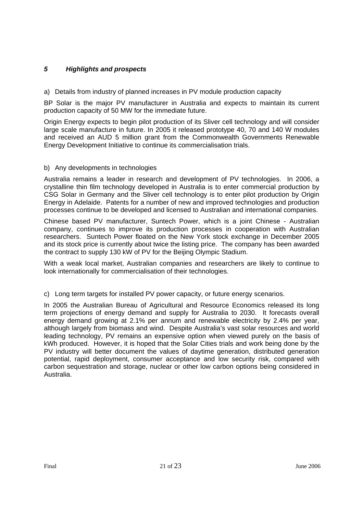# *5 Highlights and prospects*

a) Details from industry of planned increases in PV module production capacity

BP Solar is the major PV manufacturer in Australia and expects to maintain its current production capacity of 50 MW for the immediate future.

Origin Energy expects to begin pilot production of its Sliver cell technology and will consider large scale manufacture in future. In 2005 it released prototype 40, 70 and 140 W modules and received an AUD 5 million grant from the Commonwealth Governments Renewable Energy Development Initiative to continue its commercialisation trials.

### b) Any developments in technologies

Australia remains a leader in research and development of PV technologies. In 2006, a crystalline thin film technology developed in Australia is to enter commercial production by CSG Solar in Germany and the Sliver cell technology is to enter pilot production by Origin Energy in Adelaide. Patents for a number of new and improved technologies and production processes continue to be developed and licensed to Australian and international companies.

Chinese based PV manufacturer, Suntech Power, which is a joint Chinese - Australian company, continues to improve its production processes in cooperation with Australian researchers. Suntech Power floated on the New York stock exchange in December 2005 and its stock price is currently about twice the listing price. The company has been awarded the contract to supply 130 kW of PV for the Beijing Olympic Stadium.

With a weak local market, Australian companies and researchers are likely to continue to look internationally for commercialisation of their technologies.

### c) Long term targets for installed PV power capacity, or future energy scenarios.

In 2005 the Australian Bureau of Agricultural and Resource Economics released its long term projections of energy demand and supply for Australia to 2030. It forecasts overall energy demand growing at 2.1% per annum and renewable electricity by 2.4% per year, although largely from biomass and wind. Despite Australia's vast solar resources and world leading technology, PV remains an expensive option when viewed purely on the basis of kWh produced. However, it is hoped that the Solar Cities trials and work being done by the PV industry will better document the values of daytime generation, distributed generation potential, rapid deployment, consumer acceptance and low security risk, compared with carbon sequestration and storage, nuclear or other low carbon options being considered in Australia.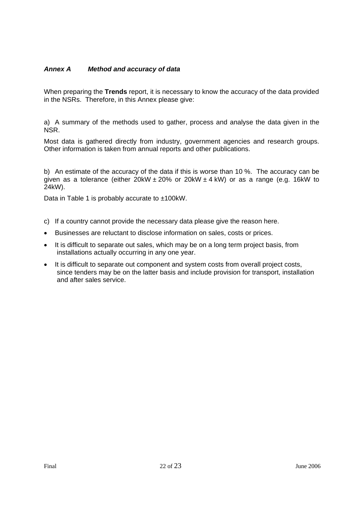## *Annex A Method and accuracy of data*

When preparing the **Trends** report, it is necessary to know the accuracy of the data provided in the NSRs. Therefore, in this Annex please give:

a) A summary of the methods used to gather, process and analyse the data given in the NSR.

Most data is gathered directly from industry, government agencies and research groups. Other information is taken from annual reports and other publications.

b) An estimate of the accuracy of the data if this is worse than 10 %. The accuracy can be given as a tolerance (either 20kW  $\pm$  20% or 20kW  $\pm$  4 kW) or as a range (e.g. 16kW to 24kW).

Data in Table 1 is probably accurate to ±100kW.

- c) If a country cannot provide the necessary data please give the reason here.
- Businesses are reluctant to disclose information on sales, costs or prices.
- It is difficult to separate out sales, which may be on a long term project basis, from installations actually occurring in any one year.
- It is difficult to separate out component and system costs from overall project costs, since tenders may be on the latter basis and include provision for transport, installation and after sales service.